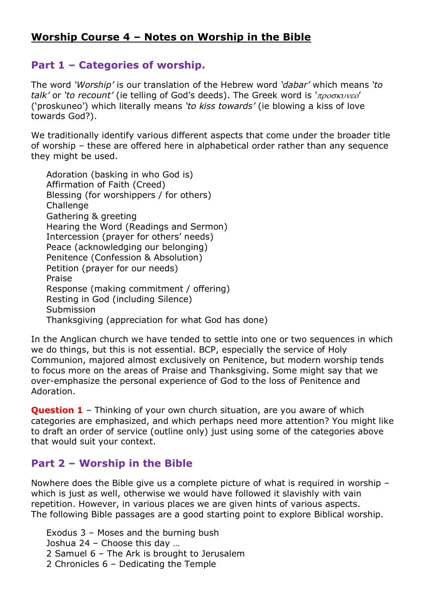## **Worship Course 4 – Notes on Worship in the Bible**

## **Part 1 – Categories of worship.**

The word *'Worship'* is our translation of the Hebrew word *'dabar'* which means *'to talk'* or *'to recount'* (ie telling of God's deeds). The Greek word is 'προσκυνεο' ('proskuneo') which literally means *'to kiss towards'* (ie blowing a kiss of love towards God?).

We traditionally identify various different aspects that come under the broader title of worship – these are offered here in alphabetical order rather than any sequence they might be used.

Adoration (basking in who God is) Affirmation of Faith (Creed) Blessing (for worshippers / for others) **Challenge** Gathering & greeting Hearing the Word (Readings and Sermon) Intercession (prayer for others' needs) Peace (acknowledging our belonging) Penitence (Confession & Absolution) Petition (prayer for our needs) Praise Response (making commitment / offering) Resting in God (including Silence) Submission Thanksgiving (appreciation for what God has done)

In the Anglican church we have tended to settle into one or two sequences in which we do things, but this is not essential. BCP, especially the service of Holy Communion, majored almost exclusively on Penitence, but modern worship tends to focus more on the areas of Praise and Thanksgiving. Some might say that we over-emphasize the personal experience of God to the loss of Penitence and Adoration.

**Question 1** – Thinking of your own church situation, are you aware of which categories are emphasized, and which perhaps need more attention? You might like to draft an order of service (outline only) just using some of the categories above that would suit your context.

## **Part 2 – Worship in the Bible**

Nowhere does the Bible give us a complete picture of what is required in worship – which is just as well, otherwise we would have followed it slavishly with vain repetition. However, in various places we are given hints of various aspects. The following Bible passages are a good starting point to explore Biblical worship.

Exodus 3 – Moses and the burning bush Joshua 24 – Choose this day … 2 Samuel 6 – The Ark is brought to Jerusalem

2 Chronicles 6 – Dedicating the Temple